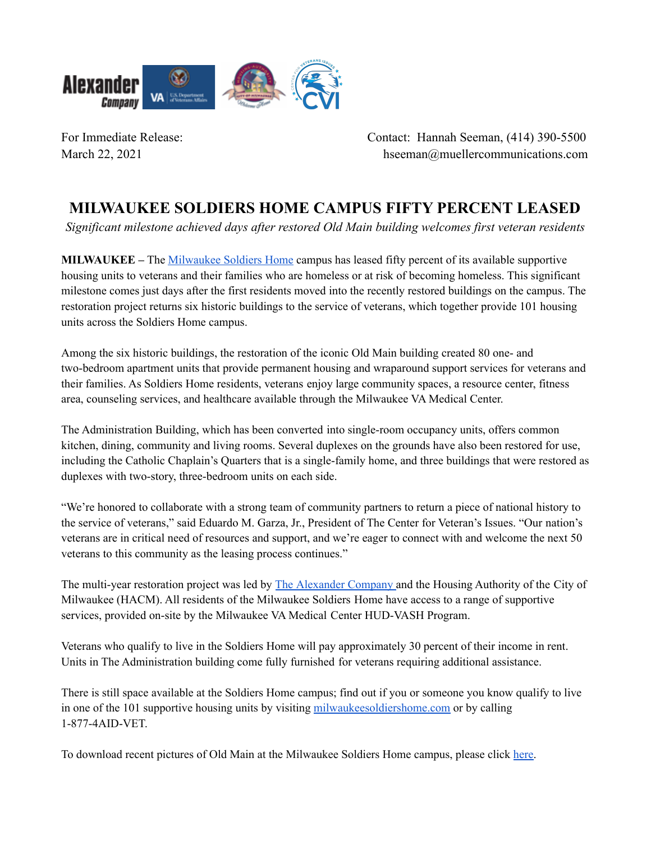

For Immediate Release: Contact: Hannah Seeman, (414) 390-5500 March 22, 2021 hseeman@muellercommunications.com

## **MILWAUKEE SOLDIERS HOME CAMPUS FIFTY PERCENT LEASED**

*Significant milestone achieved days after restored Old Main building welcomes first veteran residents*

**MILWAUKEE –** The [Milwaukee](https://milwaukeesoldiershome.com/) Soldiers Home campus has leased fifty percent of its available supportive housing units to veterans and their families who are homeless or at risk of becoming homeless. This significant milestone comes just days after the first residents moved into the recently restored buildings on the campus. The restoration project returns six historic buildings to the service of veterans, which together provide 101 housing units across the Soldiers Home campus.

Among the six historic buildings, the restoration of the iconic Old Main building created 80 one- and two-bedroom apartment units that provide permanent housing and wraparound support services for veterans and their families. As Soldiers Home residents, veterans enjoy large community spaces, a resource center, fitness area, counseling services, and healthcare available through the Milwaukee VA Medical Center.

The Administration Building, which has been converted into single-room occupancy units, offers common kitchen, dining, community and living rooms. Several duplexes on the grounds have also been restored for use, including the Catholic Chaplain's Quarters that is a single-family home, and three buildings that were restored as duplexes with two-story, three-bedroom units on each side.

"We're honored to collaborate with a strong team of community partners to return a piece of national history to the service of veterans," said Eduardo M. Garza, Jr., President of The Center for Veteran's Issues. "Our nation's veterans are in critical need of resources and support, and we're eager to connect with and welcome the next 50 veterans to this community as the leasing process continues."

The multi-year restoration project was led by The [Alexander](https://alexandercompany.com/projects/the-soldiers-home/) Company and the Housing Authority of the City of Milwaukee (HACM). All residents of the Milwaukee Soldiers Home have access to a range of supportive services, provided on-site by the Milwaukee VA Medical Center HUD-VASH Program.

Veterans who qualify to live in the Soldiers Home will pay approximately 30 percent of their income in rent. Units in The Administration building come fully furnished for veterans requiring additional assistance.

There is still space available at the Soldiers Home campus; find out if you or someone you know qualify to live in one of the 101 supportive housing units by visiting [milwaukeesoldiershome.com](https://milwaukeesoldiershome.com/) or by calling 1-877-4AID-VET.

To download recent pictures of Old Main at the Milwaukee Soldiers Home campus, please click [here.](https://www.dropbox.com/sh/a6tqi6mygyg1ey7/AABT9BCpJ9Xe4GMIHnheVgrIa?dl=0)